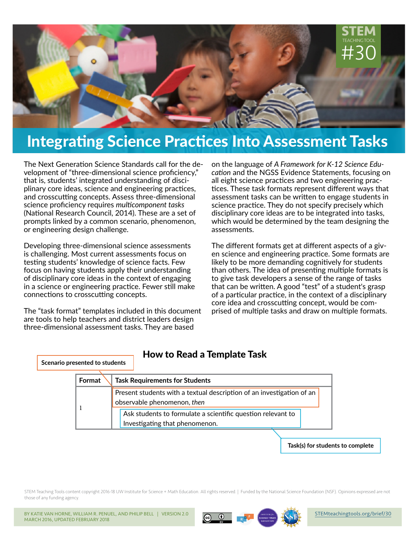

# Integrating Science Practices Into Assessment Tasks

The Next Generation Science Standards call for the development of "three-dimensional science proficiency," that is, students' integrated understanding of disciplinary core ideas, science and engineering practices, and crosscutting concepts. Assess three-dimensional science proficiency requires *multicomponent tasks*  (National Research Council, 2014). These are a set of prompts linked by a common scenario, phenomenon, or engineering design challenge.

Developing three-dimensional science assessments is challenging. Most current assessments focus on testing students' knowledge of science facts. Few focus on having students apply their understanding of disciplinary core ideas in the context of engaging in a science or engineering practice. Fewer still make connections to crosscutting concepts.

The "task format" templates included in this document are tools to help teachers and district leaders design three-dimensional assessment tasks. They are based

on the language of *A Framework for K-12 Science Education* and the NGSS Evidence Statements, focusing on all eight science practices and two engineering practices. These task formats represent different ways that assessment tasks can be written to engage students in science practice. They do not specify precisely which disciplinary core ideas are to be integrated into tasks, which would be determined by the team designing the assessments.

The different formats get at different aspects of a given science and engineering practice. Some formats are likely to be more demanding cognitively for students than others. The idea of presenting multiple formats is to give task developers a sense of the range of tasks that can be written. A good "test" of a student's grasp of a particular practice, in the context of a disciplinary core idea and crosscutting concept, would be comprised of multiple tasks and draw on multiple formats.

#### **Scenario presented to students**

### **Format Task Requirements for Students** 1 Present students with a textual description of an investigation of an observable phenomenon, *then* Ask students to formulate a scientific question relevant to

Investigating that phenomenon.

How to Read a Template Task

**Task(s) for students to complete**

STEM Teaching Tools content copyright 2016-18 UW Institute for Science + Math Education. All rights reserved. | Funded by the National Science Foundation (NSF). Opinions expressed are not those of any funding agency.

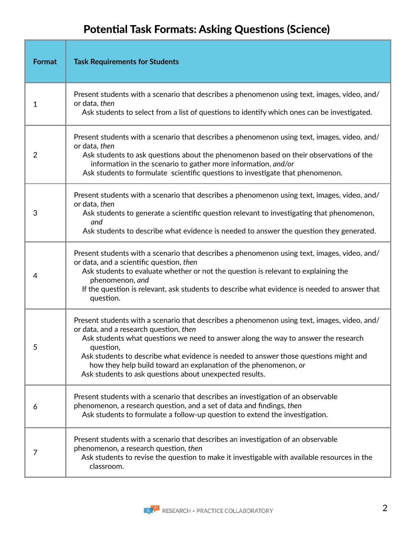## Potential Task Formats: Asking Questions (Science)

| <b>Format</b>  | <b>Task Requirements for Students</b>                                                                                                                                                                                                                                                                                                                                                                                                                           |
|----------------|-----------------------------------------------------------------------------------------------------------------------------------------------------------------------------------------------------------------------------------------------------------------------------------------------------------------------------------------------------------------------------------------------------------------------------------------------------------------|
| 1              | Present students with a scenario that describes a phenomenon using text, images, video, and/<br>or data, then<br>Ask students to select from a list of questions to identify which ones can be investigated.                                                                                                                                                                                                                                                    |
| $\overline{2}$ | Present students with a scenario that describes a phenomenon using text, images, video, and/<br>or data, then<br>Ask students to ask questions about the phenomenon based on their observations of the<br>information in the scenario to gather more information, and/or<br>Ask students to formulate scientific questions to investigate that phenomenon.                                                                                                      |
| 3              | Present students with a scenario that describes a phenomenon using text, images, video, and/<br>or data, then<br>Ask students to generate a scientific question relevant to investigating that phenomenon,<br>and<br>Ask students to describe what evidence is needed to answer the question they generated.                                                                                                                                                    |
| 4              | Present students with a scenario that describes a phenomenon using text, images, video, and/<br>or data, and a scientific question, then<br>Ask students to evaluate whether or not the question is relevant to explaining the<br>phenomenon, and<br>If the question is relevant, ask students to describe what evidence is needed to answer that<br>question.                                                                                                  |
|                | Present students with a scenario that describes a phenomenon using text, images, video, and/<br>or data, and a research question, then<br>Ask students what questions we need to answer along the way to answer the research<br>question,<br>Ask students to describe what evidence is needed to answer those questions might and<br>how they help build toward an explanation of the phenomenon, or<br>Ask students to ask questions about unexpected results. |
| 6              | Present students with a scenario that describes an investigation of an observable<br>phenomenon, a research question, and a set of data and findings, then<br>Ask students to formulate a follow-up question to extend the investigation.                                                                                                                                                                                                                       |
| 7              | Present students with a scenario that describes an investigation of an observable<br>phenomenon, a research question, then<br>Ask students to revise the question to make it investigable with available resources in the<br>classroom.                                                                                                                                                                                                                         |

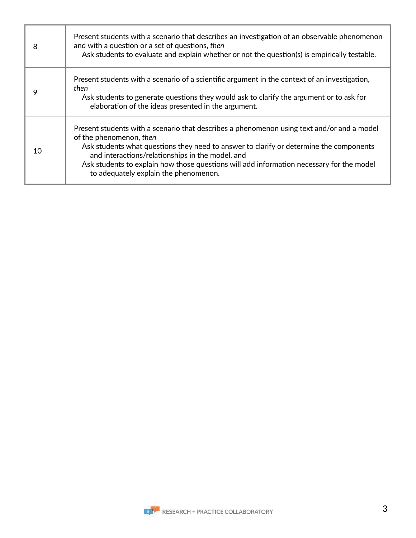| 8  | Present students with a scenario that describes an investigation of an observable phenomenon<br>and with a question or a set of questions, then<br>Ask students to evaluate and explain whether or not the question(s) is empirically testable.                                                                                                                                                          |
|----|----------------------------------------------------------------------------------------------------------------------------------------------------------------------------------------------------------------------------------------------------------------------------------------------------------------------------------------------------------------------------------------------------------|
| 9  | Present students with a scenario of a scientific argument in the context of an investigation,<br>then<br>Ask students to generate questions they would ask to clarify the argument or to ask for<br>elaboration of the ideas presented in the argument.                                                                                                                                                  |
| 10 | Present students with a scenario that describes a phenomenon using text and/or and a model<br>of the phenomenon, then<br>Ask students what questions they need to answer to clarify or determine the components<br>and interactions/relationships in the model, and<br>Ask students to explain how those questions will add information necessary for the model<br>to adequately explain the phenomenon. |

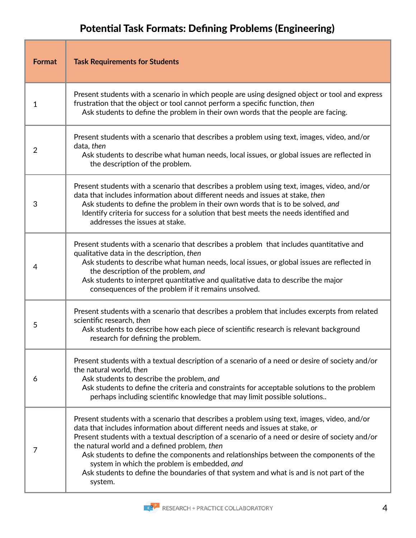## Potential Task Formats: Defining Problems (Engineering)

| <b>Format</b> | <b>Task Requirements for Students</b>                                                                                                                                                                                                                                                                                                                                                                                                                                                                                                                                          |
|---------------|--------------------------------------------------------------------------------------------------------------------------------------------------------------------------------------------------------------------------------------------------------------------------------------------------------------------------------------------------------------------------------------------------------------------------------------------------------------------------------------------------------------------------------------------------------------------------------|
| 1             | Present students with a scenario in which people are using designed object or tool and express<br>frustration that the object or tool cannot perform a specific function, then<br>Ask students to define the problem in their own words that the people are facing.                                                                                                                                                                                                                                                                                                            |
| 2             | Present students with a scenario that describes a problem using text, images, video, and/or<br>data, then<br>Ask students to describe what human needs, local issues, or global issues are reflected in<br>the description of the problem.                                                                                                                                                                                                                                                                                                                                     |
| 3             | Present students with a scenario that describes a problem using text, images, video, and/or<br>data that includes information about different needs and issues at stake, then<br>Ask students to define the problem in their own words that is to be solved, and<br>Identify criteria for success for a solution that best meets the needs identified and<br>addresses the issues at stake.                                                                                                                                                                                    |
| 4             | Present students with a scenario that describes a problem that includes quantitative and<br>qualitative data in the description, then<br>Ask students to describe what human needs, local issues, or global issues are reflected in<br>the description of the problem, and<br>Ask students to interpret quantitative and qualitative data to describe the major<br>consequences of the problem if it remains unsolved.                                                                                                                                                         |
| 5             | Present students with a scenario that describes a problem that includes excerpts from related<br>scientific research, then<br>Ask students to describe how each piece of scientific research is relevant background<br>research for defining the problem.                                                                                                                                                                                                                                                                                                                      |
| 6             | Present students with a textual description of a scenario of a need or desire of society and/or<br>the natural world, then<br>Ask students to describe the problem, and<br>Ask students to define the criteria and constraints for acceptable solutions to the problem<br>perhaps including scientific knowledge that may limit possible solutions                                                                                                                                                                                                                             |
| 7             | Present students with a scenario that describes a problem using text, images, video, and/or<br>data that includes information about different needs and issues at stake, or<br>Present students with a textual description of a scenario of a need or desire of society and/or<br>the natural world and a defined problem, then<br>Ask students to define the components and relationships between the components of the<br>system in which the problem is embedded, and<br>Ask students to define the boundaries of that system and what is and is not part of the<br>system. |

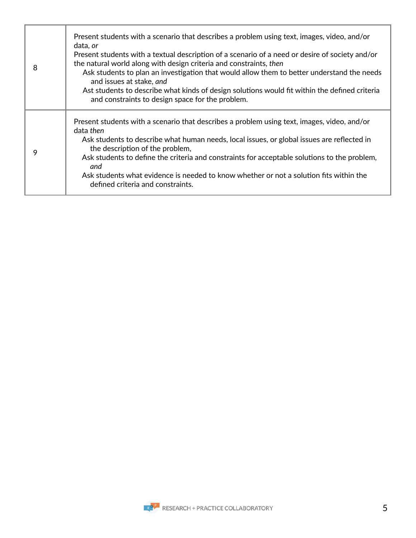| 8 | Present students with a scenario that describes a problem using text, images, video, and/or<br>data, or<br>Present students with a textual description of a scenario of a need or desire of society and/or<br>the natural world along with design criteria and constraints, then<br>Ask students to plan an investigation that would allow them to better understand the needs<br>and issues at stake, and<br>Ast students to describe what kinds of design solutions would fit within the defined criteria<br>and constraints to design space for the problem. |
|---|-----------------------------------------------------------------------------------------------------------------------------------------------------------------------------------------------------------------------------------------------------------------------------------------------------------------------------------------------------------------------------------------------------------------------------------------------------------------------------------------------------------------------------------------------------------------|
| 9 | Present students with a scenario that describes a problem using text, images, video, and/or<br>data then<br>Ask students to describe what human needs, local issues, or global issues are reflected in<br>the description of the problem,<br>Ask students to define the criteria and constraints for acceptable solutions to the problem,<br>and<br>Ask students what evidence is needed to know whether or not a solution fits within the<br>defined criteria and constraints.                                                                                 |

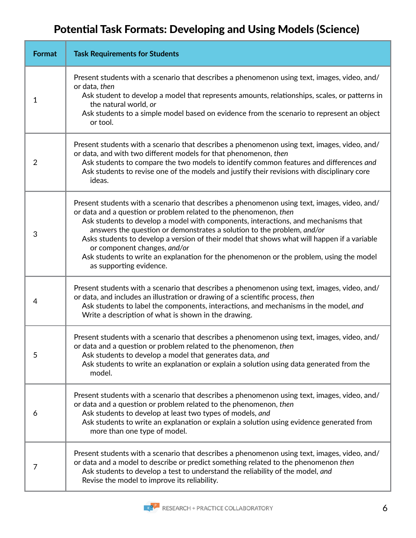## Potential Task Formats: Developing and Using Models (Science)

| <b>Format</b>  | <b>Task Requirements for Students</b>                                                                                                                                                                                                                                                                                                                                                                                                                                                                                                                                                  |
|----------------|----------------------------------------------------------------------------------------------------------------------------------------------------------------------------------------------------------------------------------------------------------------------------------------------------------------------------------------------------------------------------------------------------------------------------------------------------------------------------------------------------------------------------------------------------------------------------------------|
| 1              | Present students with a scenario that describes a phenomenon using text, images, video, and/<br>or data, then<br>Ask student to develop a model that represents amounts, relationships, scales, or patterns in<br>the natural world, or<br>Ask students to a simple model based on evidence from the scenario to represent an object<br>or tool.                                                                                                                                                                                                                                       |
| $\overline{2}$ | Present students with a scenario that describes a phenomenon using text, images, video, and/<br>or data, and with two different models for that phenomenon, then<br>Ask students to compare the two models to identify common features and differences and<br>Ask students to revise one of the models and justify their revisions with disciplinary core<br>ideas.                                                                                                                                                                                                                    |
| 3              | Present students with a scenario that describes a phenomenon using text, images, video, and/<br>or data and a question or problem related to the phenomenon, then<br>Ask students to develop a model with components, interactions, and mechanisms that<br>answers the question or demonstrates a solution to the problem, and/or<br>Asks students to develop a version of their model that shows what will happen if a variable<br>or component changes, and/or<br>Ask students to write an explanation for the phenomenon or the problem, using the model<br>as supporting evidence. |
| 4              | Present students with a scenario that describes a phenomenon using text, images, video, and/<br>or data, and includes an illustration or drawing of a scientific process, then<br>Ask students to label the components, interactions, and mechanisms in the model, and<br>Write a description of what is shown in the drawing.                                                                                                                                                                                                                                                         |
| 5              | Present students with a scenario that describes a phenomenon using text, images, video, and/<br>or data and a question or problem related to the phenomenon, then<br>Ask students to develop a model that generates data, and<br>Ask students to write an explanation or explain a solution using data generated from the<br>model.                                                                                                                                                                                                                                                    |
| 6              | Present students with a scenario that describes a phenomenon using text, images, video, and/<br>or data and a question or problem related to the phenomenon, then<br>Ask students to develop at least two types of models, and<br>Ask students to write an explanation or explain a solution using evidence generated from<br>more than one type of model.                                                                                                                                                                                                                             |
| 7              | Present students with a scenario that describes a phenomenon using text, images, video, and/<br>or data and a model to describe or predict something related to the phenomenon then<br>Ask students to develop a test to understand the reliability of the model, and<br>Revise the model to improve its reliability.                                                                                                                                                                                                                                                                  |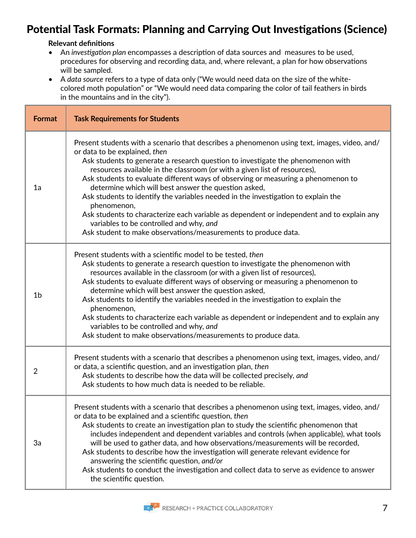### Potential Task Formats: Planning and Carrying Out Investigations (Science)

#### **Relevant definitions**

- An *investigation plan* encompasses a description of data sources and measures to be used, procedures for observing and recording data, and, where relevant, a plan for how observations will be sampled.
- A *data source* refers to a type of data only ("We would need data on the size of the whitecolored moth population" or "We would need data comparing the color of tail feathers in birds in the mountains and in the city").

| <b>Format</b>  | <b>Task Requirements for Students</b>                                                                                                                                                                                                                                                                                                                                                                                                                                                                                                                                                                                                                                                                                                                    |
|----------------|----------------------------------------------------------------------------------------------------------------------------------------------------------------------------------------------------------------------------------------------------------------------------------------------------------------------------------------------------------------------------------------------------------------------------------------------------------------------------------------------------------------------------------------------------------------------------------------------------------------------------------------------------------------------------------------------------------------------------------------------------------|
| 1a             | Present students with a scenario that describes a phenomenon using text, images, video, and/<br>or data to be explained, then<br>Ask students to generate a research question to investigate the phenomenon with<br>resources available in the classroom (or with a given list of resources),<br>Ask students to evaluate different ways of observing or measuring a phenomenon to<br>determine which will best answer the question asked,<br>Ask students to identify the variables needed in the investigation to explain the<br>phenomenon,<br>Ask students to characterize each variable as dependent or independent and to explain any<br>variables to be controlled and why, and<br>Ask student to make observations/measurements to produce data. |
| 1 <sub>b</sub> | Present students with a scientific model to be tested, then<br>Ask students to generate a research question to investigate the phenomenon with<br>resources available in the classroom (or with a given list of resources),<br>Ask students to evaluate different ways of observing or measuring a phenomenon to<br>determine which will best answer the question asked,<br>Ask students to identify the variables needed in the investigation to explain the<br>phenomenon,<br>Ask students to characterize each variable as dependent or independent and to explain any<br>variables to be controlled and why, and<br>Ask student to make observations/measurements to produce data.                                                                   |
| $\overline{2}$ | Present students with a scenario that describes a phenomenon using text, images, video, and/<br>or data, a scientific question, and an investigation plan, then<br>Ask students to describe how the data will be collected precisely, and<br>Ask students to how much data is needed to be reliable.                                                                                                                                                                                                                                                                                                                                                                                                                                                     |
| 3a             | Present students with a scenario that describes a phenomenon using text, images, video, and/<br>or data to be explained and a scientific question, then<br>Ask students to create an investigation plan to study the scientific phenomenon that<br>includes independent and dependent variables and controls (when applicable), what tools<br>will be used to gather data, and how observations/measurements will be recorded,<br>Ask students to describe how the investigation will generate relevant evidence for<br>answering the scientific question, and/or<br>Ask students to conduct the investigation and collect data to serve as evidence to answer<br>the scientific question.                                                               |

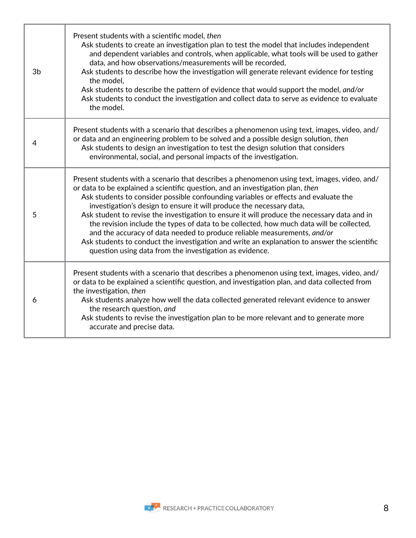| 3b | Present students with a scientific model, then<br>Ask students to create an investigation plan to test the model that includes independent<br>and dependent variables and controls, when applicable, what tools will be used to gather<br>data, and how observations/measurements will be recorded,<br>Ask students to describe how the investigation will generate relevant evidence for testing<br>the model,<br>Ask students to describe the pattern of evidence that would support the model, and/or<br>Ask students to conduct the investigation and collect data to serve as evidence to evaluate<br>the model.                                                                                                                                                          |
|----|--------------------------------------------------------------------------------------------------------------------------------------------------------------------------------------------------------------------------------------------------------------------------------------------------------------------------------------------------------------------------------------------------------------------------------------------------------------------------------------------------------------------------------------------------------------------------------------------------------------------------------------------------------------------------------------------------------------------------------------------------------------------------------|
| 4  | Present students with a scenario that describes a phenomenon using text, images, video, and/<br>or data and an engineering problem to be solved and a possible design solution, then<br>Ask students to design an investigation to test the design solution that considers<br>environmental, social, and personal impacts of the investigation.                                                                                                                                                                                                                                                                                                                                                                                                                                |
| 5  | Present students with a scenario that describes a phenomenon using text, images, video, and/<br>or data to be explained a scientific question, and an investigation plan, then<br>Ask students to consider possible confounding variables or effects and evaluate the<br>investigation's design to ensure it will produce the necessary data,<br>Ask student to revise the investigation to ensure it will produce the necessary data and in<br>the revision include the types of data to be collected, how much data will be collected,<br>and the accuracy of data needed to produce reliable measurements, and/or<br>Ask students to conduct the investigation and write an explanation to answer the scientific<br>question using data from the investigation as evidence. |
| 6  | Present students with a scenario that describes a phenomenon using text, images, video, and/<br>or data to be explained a scientific question, and investigation plan, and data collected from<br>the investigation, then<br>Ask students analyze how well the data collected generated relevant evidence to answer<br>the research question, and<br>Ask students to revise the investigation plan to be more relevant and to generate more<br>accurate and precise data.                                                                                                                                                                                                                                                                                                      |

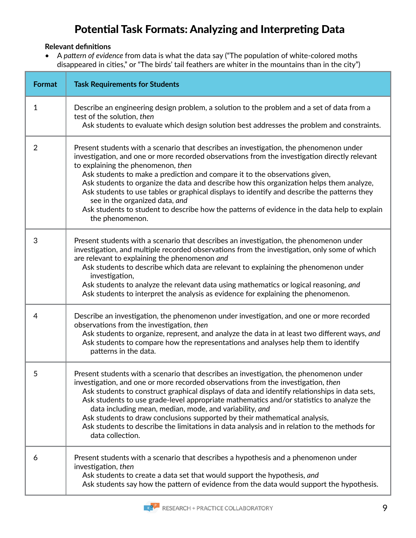### Potential Task Formats: Analyzing and Interpreting Data

#### **Relevant definitions**

• A *pattern of evidence* from data is what the data say ("The population of white-colored moths disappeared in cities," or "The birds' tail feathers are whiter in the mountains than in the city")

| <b>Format</b>  | <b>Task Requirements for Students</b>                                                                                                                                                                                                                                                                                                                                                                                                                                                                                                                                                                                                                        |
|----------------|--------------------------------------------------------------------------------------------------------------------------------------------------------------------------------------------------------------------------------------------------------------------------------------------------------------------------------------------------------------------------------------------------------------------------------------------------------------------------------------------------------------------------------------------------------------------------------------------------------------------------------------------------------------|
| 1              | Describe an engineering design problem, a solution to the problem and a set of data from a<br>test of the solution, then<br>Ask students to evaluate which design solution best addresses the problem and constraints.                                                                                                                                                                                                                                                                                                                                                                                                                                       |
| $\overline{2}$ | Present students with a scenario that describes an investigation, the phenomenon under<br>investigation, and one or more recorded observations from the investigation directly relevant<br>to explaining the phenomenon, then<br>Ask students to make a prediction and compare it to the observations given,<br>Ask students to organize the data and describe how this organization helps them analyze,<br>Ask students to use tables or graphical displays to identify and describe the patterns they<br>see in the organized data, and<br>Ask students to student to describe how the patterns of evidence in the data help to explain<br>the phenomenon. |
| 3              | Present students with a scenario that describes an investigation, the phenomenon under<br>investigation, and multiple recorded observations from the investigation, only some of which<br>are relevant to explaining the phenomenon and<br>Ask students to describe which data are relevant to explaining the phenomenon under<br>investigation,<br>Ask students to analyze the relevant data using mathematics or logical reasoning, and<br>Ask students to interpret the analysis as evidence for explaining the phenomenon.                                                                                                                               |
| 4              | Describe an investigation, the phenomenon under investigation, and one or more recorded<br>observations from the investigation, then<br>Ask students to organize, represent, and analyze the data in at least two different ways, and<br>Ask students to compare how the representations and analyses help them to identify<br>patterns in the data.                                                                                                                                                                                                                                                                                                         |
| 5              | Present students with a scenario that describes an investigation, the phenomenon under<br>investigation, and one or more recorded observations from the investigation, then<br>Ask students to construct graphical displays of data and identify relationships in data sets,<br>Ask students to use grade-level appropriate mathematics and/or statistics to analyze the<br>data including mean, median, mode, and variability, and<br>Ask students to draw conclusions supported by their mathematical analysis,<br>Ask students to describe the limitations in data analysis and in relation to the methods for<br>data collection.                        |
| 6              | Present students with a scenario that describes a hypothesis and a phenomenon under<br>investigation, then<br>Ask students to create a data set that would support the hypothesis, and<br>Ask students say how the pattern of evidence from the data would support the hypothesis.                                                                                                                                                                                                                                                                                                                                                                           |

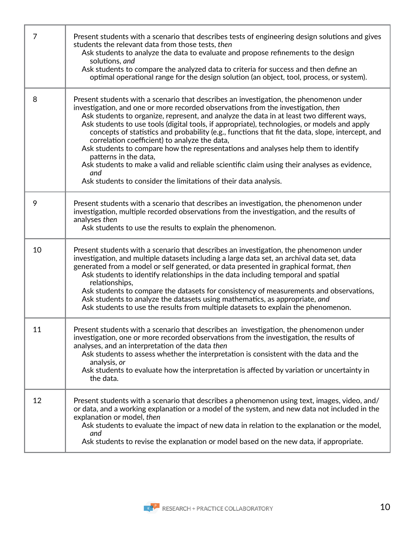| 7  | Present students with a scenario that describes tests of engineering design solutions and gives<br>students the relevant data from those tests, then<br>Ask students to analyze the data to evaluate and propose refinements to the design<br>solutions, and<br>Ask students to compare the analyzed data to criteria for success and then define an<br>optimal operational range for the design solution (an object, tool, process, or system).                                                                                                                                                                                                                                                                                                                                                                        |
|----|-------------------------------------------------------------------------------------------------------------------------------------------------------------------------------------------------------------------------------------------------------------------------------------------------------------------------------------------------------------------------------------------------------------------------------------------------------------------------------------------------------------------------------------------------------------------------------------------------------------------------------------------------------------------------------------------------------------------------------------------------------------------------------------------------------------------------|
| 8  | Present students with a scenario that describes an investigation, the phenomenon under<br>investigation, and one or more recorded observations from the investigation, then<br>Ask students to organize, represent, and analyze the data in at least two different ways,<br>Ask students to use tools (digital tools, if appropriate), technologies, or models and apply<br>concepts of statistics and probability (e.g., functions that fit the data, slope, intercept, and<br>correlation coefficient) to analyze the data,<br>Ask students to compare how the representations and analyses help them to identify<br>patterns in the data,<br>Ask students to make a valid and reliable scientific claim using their analyses as evidence,<br>and<br>Ask students to consider the limitations of their data analysis. |
| 9  | Present students with a scenario that describes an investigation, the phenomenon under<br>investigation, multiple recorded observations from the investigation, and the results of<br>analyses then<br>Ask students to use the results to explain the phenomenon.                                                                                                                                                                                                                                                                                                                                                                                                                                                                                                                                                       |
| 10 | Present students with a scenario that describes an investigation, the phenomenon under<br>investigation, and multiple datasets including a large data set, an archival data set, data<br>generated from a model or self generated, or data presented in graphical format, then<br>Ask students to identify relationships in the data including temporal and spatial<br>relationships,<br>Ask students to compare the datasets for consistency of measurements and observations,<br>Ask students to analyze the datasets using mathematics, as appropriate, and<br>Ask students to use the results from multiple datasets to explain the phenomenon.                                                                                                                                                                     |
| 11 | Present students with a scenario that describes an investigation, the phenomenon under<br>investigation, one or more recorded observations from the investigation, the results of<br>analyses, and an interpretation of the data then<br>Ask students to assess whether the interpretation is consistent with the data and the<br>analysis, or<br>Ask students to evaluate how the interpretation is affected by variation or uncertainty in<br>the data.                                                                                                                                                                                                                                                                                                                                                               |
| 12 | Present students with a scenario that describes a phenomenon using text, images, video, and/<br>or data, and a working explanation or a model of the system, and new data not included in the<br>explanation or model, then<br>Ask students to evaluate the impact of new data in relation to the explanation or the model,<br>and<br>Ask students to revise the explanation or model based on the new data, if appropriate.                                                                                                                                                                                                                                                                                                                                                                                            |

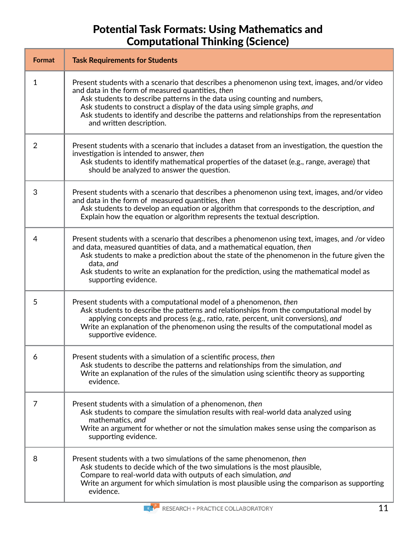### Potential Task Formats: Using Mathematics and Computational Thinking (Science)

| Format       | <b>Task Requirements for Students</b>                                                                                                                                                                                                                                                                                                                                                                                                   |
|--------------|-----------------------------------------------------------------------------------------------------------------------------------------------------------------------------------------------------------------------------------------------------------------------------------------------------------------------------------------------------------------------------------------------------------------------------------------|
| $\mathbf{1}$ | Present students with a scenario that describes a phenomenon using text, images, and/or video<br>and data in the form of measured quantities, then<br>Ask students to describe patterns in the data using counting and numbers,<br>Ask students to construct a display of the data using simple graphs, and<br>Ask students to identify and describe the patterns and relationships from the representation<br>and written description. |
| 2            | Present students with a scenario that includes a dataset from an investigation, the question the<br>investigation is intended to answer, then<br>Ask students to identify mathematical properties of the dataset (e.g., range, average) that<br>should be analyzed to answer the question.                                                                                                                                              |
| 3            | Present students with a scenario that describes a phenomenon using text, images, and/or video<br>and data in the form of measured quantities, then<br>Ask students to develop an equation or algorithm that corresponds to the description, and<br>Explain how the equation or algorithm represents the textual description.                                                                                                            |
| 4            | Present students with a scenario that describes a phenomenon using text, images, and /or video<br>and data, measured quantities of data, and a mathematical equation, then<br>Ask students to make a prediction about the state of the phenomenon in the future given the<br>data, and<br>Ask students to write an explanation for the prediction, using the mathematical model as<br>supporting evidence.                              |
| 5            | Present students with a computational model of a phenomenon, then<br>Ask students to describe the patterns and relationships from the computational model by<br>applying concepts and process (e.g., ratio, rate, percent, unit conversions), and<br>Write an explanation of the phenomenon using the results of the computational model as<br>supportive evidence.                                                                     |
| 6            | Present students with a simulation of a scientific process, then<br>Ask students to describe the patterns and relationships from the simulation, and<br>Write an explanation of the rules of the simulation using scientific theory as supporting<br>evidence.                                                                                                                                                                          |
| 7            | Present students with a simulation of a phenomenon, then<br>Ask students to compare the simulation results with real-world data analyzed using<br>mathematics, and<br>Write an argument for whether or not the simulation makes sense using the comparison as<br>supporting evidence.                                                                                                                                                   |
| 8            | Present students with a two simulations of the same phenomenon, then<br>Ask students to decide which of the two simulations is the most plausible,<br>Compare to real-world data with outputs of each simulation, and<br>Write an argument for which simulation is most plausible using the comparison as supporting<br>evidence.                                                                                                       |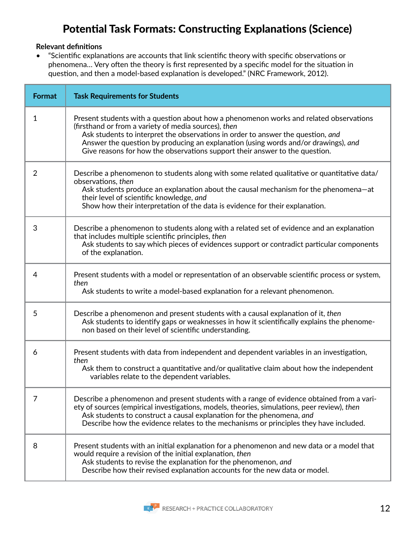### Potential Task Formats: Constructing Explanations (Science)

#### **Relevant definitions**

• "Scientific explanations are accounts that link scientific theory with specific observations or phenomena… Very often the theory is first represented by a specific model for the situation in question, and then a model-based explanation is developed." (NRC Framework, 2012).

| <b>Format</b>  | <b>Task Requirements for Students</b>                                                                                                                                                                                                                                                                                                                                                                  |
|----------------|--------------------------------------------------------------------------------------------------------------------------------------------------------------------------------------------------------------------------------------------------------------------------------------------------------------------------------------------------------------------------------------------------------|
| 1              | Present students with a question about how a phenomenon works and related observations<br>(firsthand or from a variety of media sources), then<br>Ask students to interpret the observations in order to answer the question, and<br>Answer the question by producing an explanation (using words and/or drawings), and<br>Give reasons for how the observations support their answer to the question. |
| $\overline{2}$ | Describe a phenomenon to students along with some related qualitative or quantitative data/<br>observations, then<br>Ask students produce an explanation about the causal mechanism for the phenomena-at<br>their level of scientific knowledge, and<br>Show how their interpretation of the data is evidence for their explanation.                                                                   |
| 3              | Describe a phenomenon to students along with a related set of evidence and an explanation<br>that includes multiple scientific principles, then<br>Ask students to say which pieces of evidences support or contradict particular components<br>of the explanation.                                                                                                                                    |
| 4              | Present students with a model or representation of an observable scientific process or system,<br>then<br>Ask students to write a model-based explanation for a relevant phenomenon.                                                                                                                                                                                                                   |
| 5              | Describe a phenomenon and present students with a causal explanation of it, then<br>Ask students to identify gaps or weaknesses in how it scientifically explains the phenome-<br>non based on their level of scientific understanding.                                                                                                                                                                |
| 6              | Present students with data from independent and dependent variables in an investigation,<br>then<br>Ask them to construct a quantitative and/or qualitative claim about how the independent<br>variables relate to the dependent variables.                                                                                                                                                            |
| 7              | Describe a phenomenon and present students with a range of evidence obtained from a vari-<br>ety of sources (empirical investigations, models, theories, simulations, peer review), then<br>Ask students to construct a causal explanation for the phenomena, and<br>Describe how the evidence relates to the mechanisms or principles they have included.                                             |
| 8              | Present students with an initial explanation for a phenomenon and new data or a model that<br>would require a revision of the initial explanation, then<br>Ask students to revise the explanation for the phenomenon, and<br>Describe how their revised explanation accounts for the new data or model.                                                                                                |

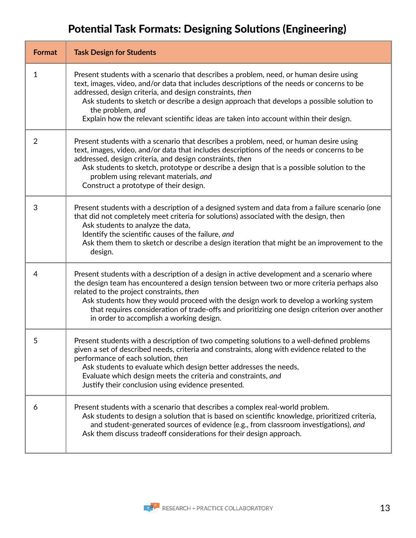## Potential Task Formats: Designing Solutions (Engineering)

| <b>Format</b> | <b>Task Design for Students</b>                                                                                                                                                                                                                                                                                                                                                                                                                                          |
|---------------|--------------------------------------------------------------------------------------------------------------------------------------------------------------------------------------------------------------------------------------------------------------------------------------------------------------------------------------------------------------------------------------------------------------------------------------------------------------------------|
| $\mathbf 1$   | Present students with a scenario that describes a problem, need, or human desire using<br>text, images, video, and/or data that includes descriptions of the needs or concerns to be<br>addressed, design criteria, and design constraints, then<br>Ask students to sketch or describe a design approach that develops a possible solution to<br>the problem, and<br>Explain how the relevant scientific ideas are taken into account within their design.               |
| 2             | Present students with a scenario that describes a problem, need, or human desire using<br>text, images, video, and/or data that includes descriptions of the needs or concerns to be<br>addressed, design criteria, and design constraints, then<br>Ask students to sketch, prototype or describe a design that is a possible solution to the<br>problem using relevant materials, and<br>Construct a prototype of their design.                                         |
| 3             | Present students with a description of a designed system and data from a failure scenario (one<br>that did not completely meet criteria for solutions) associated with the design, then<br>Ask students to analyze the data,<br>Identify the scientific causes of the failure, and<br>Ask them them to sketch or describe a design iteration that might be an improvement to the<br>design.                                                                              |
| 4             | Present students with a description of a design in active development and a scenario where<br>the design team has encountered a design tension between two or more criteria perhaps also<br>related to the project constraints, then<br>Ask students how they would proceed with the design work to develop a working system<br>that requires consideration of trade-offs and prioritizing one design criterion over another<br>in order to accomplish a working design. |
| 5             | Present students with a description of two competing solutions to a well-defined problems<br>given a set of described needs, criteria and constraints, along with evidence related to the<br>performance of each solution, then<br>Ask students to evaluate which design better addresses the needs,<br>Evaluate which design meets the criteria and constraints, and<br>Justify their conclusion using evidence presented.                                              |
| 6             | Present students with a scenario that describes a complex real-world problem.<br>Ask students to design a solution that is based on scientific knowledge, prioritized criteria,<br>and student-generated sources of evidence (e.g., from classroom investigations), and<br>Ask them discuss tradeoff considerations for their design approach.                                                                                                                           |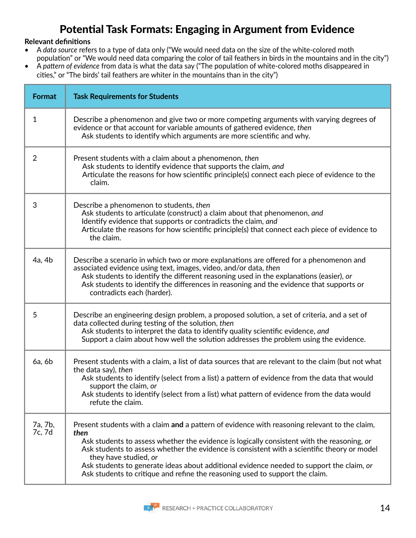### Potential Task Formats: Engaging in Argument from Evidence

#### **Relevant definitions**

- A *data source* refers to a type of data only ("We would need data on the size of the white-colored moth population" or "We would need data comparing the color of tail feathers in birds in the mountains and in the city")
- A *pattern of evidence* from data is what the data say ("The population of white-colored moths disappeared in cities," or "The birds' tail feathers are whiter in the mountains than in the city")

| Format            | <b>Task Requirements for Students</b>                                                                                                                                                                                                                                                                                                                                                                                                                                                                   |
|-------------------|---------------------------------------------------------------------------------------------------------------------------------------------------------------------------------------------------------------------------------------------------------------------------------------------------------------------------------------------------------------------------------------------------------------------------------------------------------------------------------------------------------|
| 1                 | Describe a phenomenon and give two or more competing arguments with varying degrees of<br>evidence or that account for variable amounts of gathered evidence, then<br>Ask students to identify which arguments are more scientific and why.                                                                                                                                                                                                                                                             |
| $\overline{2}$    | Present students with a claim about a phenomenon, then<br>Ask students to identify evidence that supports the claim, and<br>Articulate the reasons for how scientific principle(s) connect each piece of evidence to the<br>claim.                                                                                                                                                                                                                                                                      |
| 3                 | Describe a phenomenon to students, then<br>Ask students to articulate (construct) a claim about that phenomenon, and<br>Identify evidence that supports or contradicts the claim, and<br>Articulate the reasons for how scientific principle(s) that connect each piece of evidence to<br>the claim.                                                                                                                                                                                                    |
| 4a, 4b            | Describe a scenario in which two or more explanations are offered for a phenomenon and<br>associated evidence using text, images, video, and/or data, then<br>Ask students to identify the different reasoning used in the explanations (easier), or<br>Ask students to identify the differences in reasoning and the evidence that supports or<br>contradicts each (harder).                                                                                                                           |
| 5                 | Describe an engineering design problem, a proposed solution, a set of criteria, and a set of<br>data collected during testing of the solution, then<br>Ask students to interpret the data to identify quality scientific evidence, and<br>Support a claim about how well the solution addresses the problem using the evidence.                                                                                                                                                                         |
| 6a, 6b            | Present students with a claim, a list of data sources that are relevant to the claim (but not what<br>the data say), then<br>Ask students to identify (select from a list) a pattern of evidence from the data that would<br>support the claim, or<br>Ask students to identify (select from a list) what pattern of evidence from the data would<br>refute the claim.                                                                                                                                   |
| 7a, 7b,<br>7c, 7d | Present students with a claim and a pattern of evidence with reasoning relevant to the claim,<br>then<br>Ask students to assess whether the evidence is logically consistent with the reasoning, or<br>Ask students to assess whether the evidence is consistent with a scientific theory or model<br>they have studied, or<br>Ask students to generate ideas about additional evidence needed to support the claim, or<br>Ask students to critique and refine the reasoning used to support the claim. |

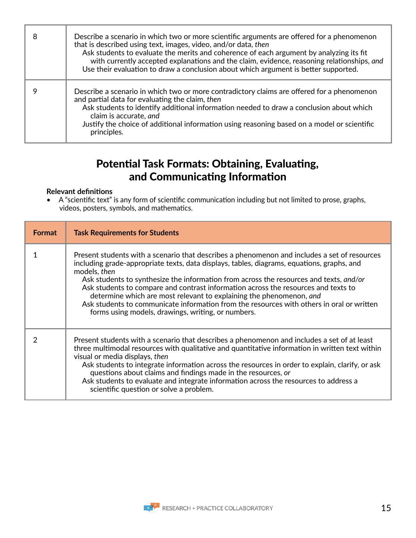| 8 | Describe a scenario in which two or more scientific arguments are offered for a phenomenon<br>that is described using text, images, video, and/or data, then<br>Ask students to evaluate the merits and coherence of each argument by analyzing its fit<br>with currently accepted explanations and the claim, evidence, reasoning relationships, and<br>Use their evaluation to draw a conclusion about which argument is better supported. |
|---|----------------------------------------------------------------------------------------------------------------------------------------------------------------------------------------------------------------------------------------------------------------------------------------------------------------------------------------------------------------------------------------------------------------------------------------------|
|   | Describe a scenario in which two or more contradictory claims are offered for a phenomenon<br>and partial data for evaluating the claim, then<br>Ask students to identify additional information needed to draw a conclusion about which<br>claim is accurate, and<br>Justify the choice of additional information using reasoning based on a model or scientific<br>principles.                                                             |

### Potential Task Formats: Obtaining, Evaluating, and Communicating Information

#### **Relevant definitions**

• A "scientific text" is any form of scientific communication including but not limited to prose, graphs, videos, posters, symbols, and mathematics.

| <b>Format</b> | <b>Task Requirements for Students</b>                                                                                                                                                                                                                                                                                                                                                                                                                                                                                                                                                                                |
|---------------|----------------------------------------------------------------------------------------------------------------------------------------------------------------------------------------------------------------------------------------------------------------------------------------------------------------------------------------------------------------------------------------------------------------------------------------------------------------------------------------------------------------------------------------------------------------------------------------------------------------------|
|               | Present students with a scenario that describes a phenomenon and includes a set of resources<br>including grade-appropriate texts, data displays, tables, diagrams, equations, graphs, and<br>models, then<br>Ask students to synthesize the information from across the resources and texts, and/or<br>Ask students to compare and contrast information across the resources and texts to<br>determine which are most relevant to explaining the phenomenon, and<br>Ask students to communicate information from the resources with others in oral or written<br>forms using models, drawings, writing, or numbers. |
|               | Present students with a scenario that describes a phenomenon and includes a set of at least<br>three multimodal resources with qualitative and quantitative information in written text within<br>visual or media displays, then<br>Ask students to integrate information across the resources in order to explain, clarify, or ask<br>questions about claims and findings made in the resources, or<br>Ask students to evaluate and integrate information across the resources to address a<br>scientific question or solve a problem.                                                                              |